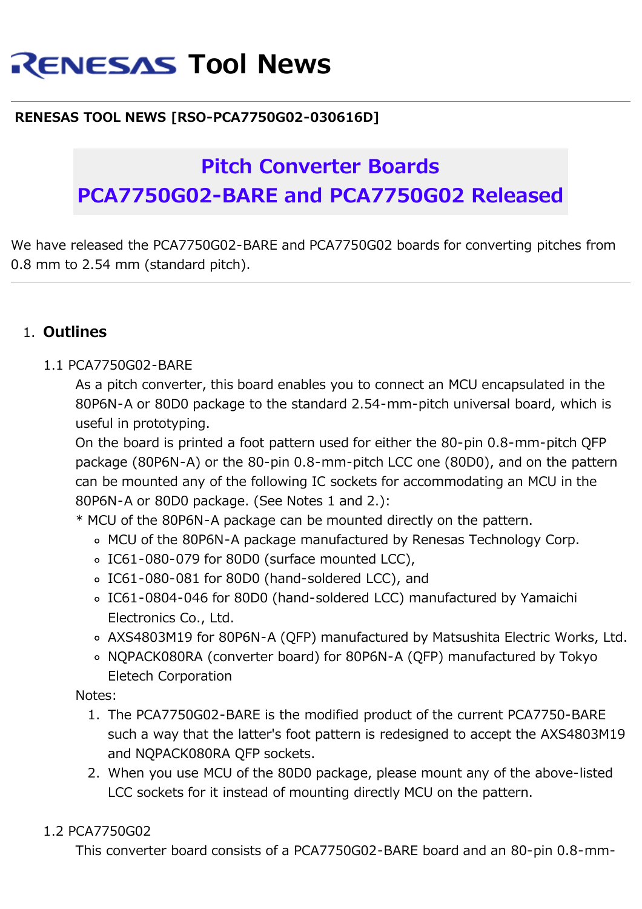# **RENESAS Tool News**

### **RENESAS TOOL NEWS [RSO-PCA7750G02-030616D]**

## **Pitch Converter Boards PCA7750G02-BARE and PCA7750G02 Released**

We have released the PCA7750G02-BARE and PCA7750G02 boards for converting pitches from 0.8 mm to 2.54 mm (standard pitch).

#### 1. **Outlines**

#### 1.1 PCA7750G02-BARE

As a pitch converter, this board enables you to connect an MCU encapsulated in the 80P6N-A or 80D0 package to the standard 2.54-mm-pitch universal board, which is useful in prototyping.

On the board is printed a foot pattern used for either the 80-pin 0.8-mm-pitch QFP package (80P6N-A) or the 80-pin 0.8-mm-pitch LCC one (80D0), and on the pattern can be mounted any of the following IC sockets for accommodating an MCU in the 80P6N-A or 80D0 package. (See Notes 1 and 2.):

\* MCU of the 80P6N-A package can be mounted directly on the pattern.

- MCU of the 80P6N-A package manufactured by Renesas Technology Corp.
- o IC61-080-079 for 80D0 (surface mounted LCC),
- IC61-080-081 for 80D0 (hand-soldered LCC), and
- IC61-0804-046 for 80D0 (hand-soldered LCC) manufactured by Yamaichi Electronics Co., Ltd.
- AXS4803M19 for 80P6N-A (QFP) manufactured by Matsushita Electric Works, Ltd.
- NQPACK080RA (converter board) for 80P6N-A (QFP) manufactured by Tokyo Eletech Corporation

Notes:

- 1. The PCA7750G02-BARE is the modified product of the current PCA7750-BARE such a way that the latter's foot pattern is redesigned to accept the AXS4803M19 and NQPACK080RA QFP sockets.
- 2. When you use MCU of the 80D0 package, please mount any of the above-listed LCC sockets for it instead of mounting directly MCU on the pattern.

#### 1.2 PCA7750G02

This converter board consists of a PCA7750G02-BARE board and an 80-pin 0.8-mm-